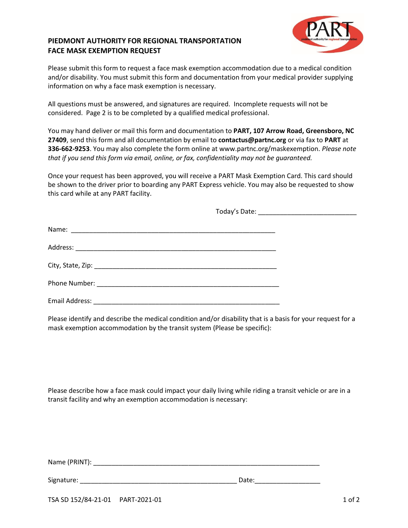## **PIEDMONT AUTHORITY FOR REGIONAL TRANSPORTATION FACE MASK EXEMPTION REQUEST**



Please submit this form to request a face mask exemption accommodation due to a medical condition and/or disability. You must submit this form and documentation from your medical provider supplying information on why a face mask exemption is necessary.

All questions must be answered, and signatures are required. Incomplete requests will not be considered. Page 2 is to be completed by a qualified medical professional.

You may hand deliver or mail this form and documentation to **PART, 107 Arrow Road, Greensboro, NC 27409**, send this form and all documentation by email to **contactus@partnc.org** or via fax to **PART** at **336-662-9253**. You may also complete the form online at www.partnc.org/maskexemption. *Please note that if you send this form via email, online, or fax, confidentiality may not be guaranteed.*

Once your request has been approved, you will receive a PART Mask Exemption Card. This card should be shown to the driver prior to boarding any PART Express vehicle. You may also be requested to show this card while at any PART facility.

Today's Date: \_\_\_\_\_\_\_\_\_\_\_\_\_\_\_\_\_\_\_\_\_\_\_\_\_\_\_

| Email Address: 2008. 2009. 2010. 2010. 2010. 2010. 2010. 2010. 2010. 2010. 2010. 2010. 2010. 2010. 2010. 2010 |  |
|---------------------------------------------------------------------------------------------------------------|--|

Please identify and describe the medical condition and/or disability that is a basis for your request for a mask exemption accommodation by the transit system (Please be specific):

Please describe how a face mask could impact your daily living while riding a transit vehicle or are in a transit facility and why an exemption accommodation is necessary:

Name (PRINT): \_\_\_\_\_\_\_\_\_\_\_\_\_\_\_\_\_\_\_\_\_\_\_\_\_\_\_\_\_\_\_\_\_\_\_\_\_\_\_\_\_\_\_\_\_\_\_\_\_\_\_\_\_\_\_\_\_\_\_\_\_\_

Signature: \_\_\_\_\_\_\_\_\_\_\_\_\_\_\_\_\_\_\_\_\_\_\_\_\_\_\_\_\_\_\_\_\_\_\_\_\_\_\_\_\_\_\_ Date:\_\_\_\_\_\_\_\_\_\_\_\_\_\_\_\_\_\_

TSA SD 152/84-21-01 PART-2021-01 2010 1 06 2